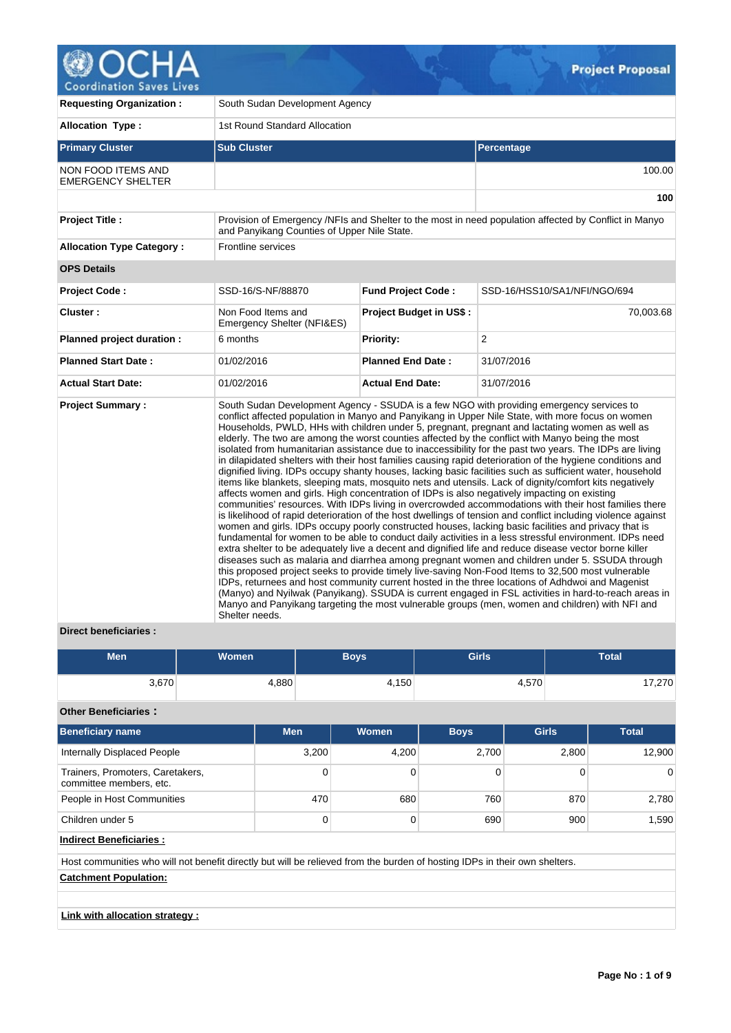

| <b>Requesting Organization:</b>                | South Sudan Development Agency                   |                                |                                                                                                                                                                                                                                                                                                                                                                                                                                                                                                                                                                                                                                                                                                                                                                                                                                                                                                                                                                                                                                                                                                                                                                                                                                                                                                                                                                                                                                                                                                                                                                                                                                                                                                                                                                                                                                                                                                                                                                                                                                      |  |  |  |  |
|------------------------------------------------|--------------------------------------------------|--------------------------------|--------------------------------------------------------------------------------------------------------------------------------------------------------------------------------------------------------------------------------------------------------------------------------------------------------------------------------------------------------------------------------------------------------------------------------------------------------------------------------------------------------------------------------------------------------------------------------------------------------------------------------------------------------------------------------------------------------------------------------------------------------------------------------------------------------------------------------------------------------------------------------------------------------------------------------------------------------------------------------------------------------------------------------------------------------------------------------------------------------------------------------------------------------------------------------------------------------------------------------------------------------------------------------------------------------------------------------------------------------------------------------------------------------------------------------------------------------------------------------------------------------------------------------------------------------------------------------------------------------------------------------------------------------------------------------------------------------------------------------------------------------------------------------------------------------------------------------------------------------------------------------------------------------------------------------------------------------------------------------------------------------------------------------------|--|--|--|--|
| <b>Allocation Type:</b>                        | 1st Round Standard Allocation                    |                                |                                                                                                                                                                                                                                                                                                                                                                                                                                                                                                                                                                                                                                                                                                                                                                                                                                                                                                                                                                                                                                                                                                                                                                                                                                                                                                                                                                                                                                                                                                                                                                                                                                                                                                                                                                                                                                                                                                                                                                                                                                      |  |  |  |  |
| <b>Primary Cluster</b>                         | <b>Sub Cluster</b>                               |                                | Percentage                                                                                                                                                                                                                                                                                                                                                                                                                                                                                                                                                                                                                                                                                                                                                                                                                                                                                                                                                                                                                                                                                                                                                                                                                                                                                                                                                                                                                                                                                                                                                                                                                                                                                                                                                                                                                                                                                                                                                                                                                           |  |  |  |  |
| NON FOOD ITEMS AND<br><b>EMERGENCY SHELTER</b> |                                                  |                                | 100.00                                                                                                                                                                                                                                                                                                                                                                                                                                                                                                                                                                                                                                                                                                                                                                                                                                                                                                                                                                                                                                                                                                                                                                                                                                                                                                                                                                                                                                                                                                                                                                                                                                                                                                                                                                                                                                                                                                                                                                                                                               |  |  |  |  |
|                                                |                                                  |                                | 100                                                                                                                                                                                                                                                                                                                                                                                                                                                                                                                                                                                                                                                                                                                                                                                                                                                                                                                                                                                                                                                                                                                                                                                                                                                                                                                                                                                                                                                                                                                                                                                                                                                                                                                                                                                                                                                                                                                                                                                                                                  |  |  |  |  |
| <b>Project Title:</b>                          | and Panyikang Counties of Upper Nile State.      |                                | Provision of Emergency /NFIs and Shelter to the most in need population affected by Conflict in Manyo                                                                                                                                                                                                                                                                                                                                                                                                                                                                                                                                                                                                                                                                                                                                                                                                                                                                                                                                                                                                                                                                                                                                                                                                                                                                                                                                                                                                                                                                                                                                                                                                                                                                                                                                                                                                                                                                                                                                |  |  |  |  |
| <b>Allocation Type Category:</b>               | Frontline services                               |                                |                                                                                                                                                                                                                                                                                                                                                                                                                                                                                                                                                                                                                                                                                                                                                                                                                                                                                                                                                                                                                                                                                                                                                                                                                                                                                                                                                                                                                                                                                                                                                                                                                                                                                                                                                                                                                                                                                                                                                                                                                                      |  |  |  |  |
| <b>OPS Details</b>                             |                                                  |                                |                                                                                                                                                                                                                                                                                                                                                                                                                                                                                                                                                                                                                                                                                                                                                                                                                                                                                                                                                                                                                                                                                                                                                                                                                                                                                                                                                                                                                                                                                                                                                                                                                                                                                                                                                                                                                                                                                                                                                                                                                                      |  |  |  |  |
| <b>Project Code:</b>                           | SSD-16/S-NF/88870                                | <b>Fund Project Code:</b>      | SSD-16/HSS10/SA1/NFI/NGO/694                                                                                                                                                                                                                                                                                                                                                                                                                                                                                                                                                                                                                                                                                                                                                                                                                                                                                                                                                                                                                                                                                                                                                                                                                                                                                                                                                                                                                                                                                                                                                                                                                                                                                                                                                                                                                                                                                                                                                                                                         |  |  |  |  |
| Cluster:                                       | Non Food Items and<br>Emergency Shelter (NFI&ES) | <b>Project Budget in US\$:</b> | 70,003.68                                                                                                                                                                                                                                                                                                                                                                                                                                                                                                                                                                                                                                                                                                                                                                                                                                                                                                                                                                                                                                                                                                                                                                                                                                                                                                                                                                                                                                                                                                                                                                                                                                                                                                                                                                                                                                                                                                                                                                                                                            |  |  |  |  |
| Planned project duration :                     | 6 months                                         | <b>Priority:</b>               | 2                                                                                                                                                                                                                                                                                                                                                                                                                                                                                                                                                                                                                                                                                                                                                                                                                                                                                                                                                                                                                                                                                                                                                                                                                                                                                                                                                                                                                                                                                                                                                                                                                                                                                                                                                                                                                                                                                                                                                                                                                                    |  |  |  |  |
| <b>Planned Start Date:</b>                     | 01/02/2016                                       | <b>Planned End Date:</b>       | 31/07/2016                                                                                                                                                                                                                                                                                                                                                                                                                                                                                                                                                                                                                                                                                                                                                                                                                                                                                                                                                                                                                                                                                                                                                                                                                                                                                                                                                                                                                                                                                                                                                                                                                                                                                                                                                                                                                                                                                                                                                                                                                           |  |  |  |  |
| <b>Actual Start Date:</b>                      | 01/02/2016                                       | <b>Actual End Date:</b>        | 31/07/2016                                                                                                                                                                                                                                                                                                                                                                                                                                                                                                                                                                                                                                                                                                                                                                                                                                                                                                                                                                                                                                                                                                                                                                                                                                                                                                                                                                                                                                                                                                                                                                                                                                                                                                                                                                                                                                                                                                                                                                                                                           |  |  |  |  |
| <b>Project Summary:</b>                        | Shelter needs.                                   |                                | South Sudan Development Agency - SSUDA is a few NGO with providing emergency services to<br>conflict affected population in Manyo and Panyikang in Upper Nile State, with more focus on women<br>Households, PWLD, HHs with children under 5, pregnant, pregnant and lactating women as well as<br>elderly. The two are among the worst counties affected by the conflict with Manyo being the most<br>isolated from humanitarian assistance due to inaccessibility for the past two years. The IDPs are living<br>in dilapidated shelters with their host families causing rapid deterioration of the hygiene conditions and<br>dignified living. IDPs occupy shanty houses, lacking basic facilities such as sufficient water, household<br>items like blankets, sleeping mats, mosquito nets and utensils. Lack of dignity/comfort kits negatively<br>affects women and girls. High concentration of IDPs is also negatively impacting on existing<br>communities' resources. With IDPs living in overcrowded accommodations with their host families there<br>is likelihood of rapid deterioration of the host dwellings of tension and conflict including violence against<br>women and girls. IDPs occupy poorly constructed houses, lacking basic facilities and privacy that is<br>fundamental for women to be able to conduct daily activities in a less stressful environment. IDPs need<br>extra shelter to be adequately live a decent and dignified life and reduce disease vector borne killer<br>diseases such as malaria and diarrhea among pregnant women and children under 5. SSUDA through<br>this proposed project seeks to provide timely live-saving Non-Food Items to 32,500 most vulnerable<br>IDPs, returnees and host community current hosted in the three locations of Adhdwoi and Magenist<br>(Manyo) and Nyilwak (Panyikang). SSUDA is current engaged in FSL activities in hard-to-reach areas in<br>Manyo and Panyikang targeting the most vulnerable groups (men, women and children) with NFI and |  |  |  |  |

# **Direct beneficiaries :**

| <b>Men</b> | <b>Women</b> | <b>Boys</b> | <b>Girls</b> | Total |
|------------|--------------|-------------|--------------|-------|
| 3,670      | 4,880        | 4,150       | 4,570        | 7,270 |

## **Other Beneficiaries :**

| <b>Beneficiary name</b>                                     | <b>Men</b> | <b>Women</b> | <b>Boys</b> | <b>Girls</b> | <b>Total</b> |
|-------------------------------------------------------------|------------|--------------|-------------|--------------|--------------|
| Internally Displaced People                                 | 3,200      | 4,200        | 2,700       | 2,800        | 12.900       |
| Trainers, Promoters, Caretakers,<br>committee members, etc. | 0          |              |             |              | $\Omega$     |
| People in Host Communities                                  | 470        | 680          | 760         | 870          | 2,780        |
| Children under 5                                            | 0          |              | 690         | 900          | 1.590        |

**Indirect Beneficiaries :**

Host communities who will not benefit directly but will be relieved from the burden of hosting IDPs in their own shelters.

**Catchment Population:**

**Link with allocation strategy :**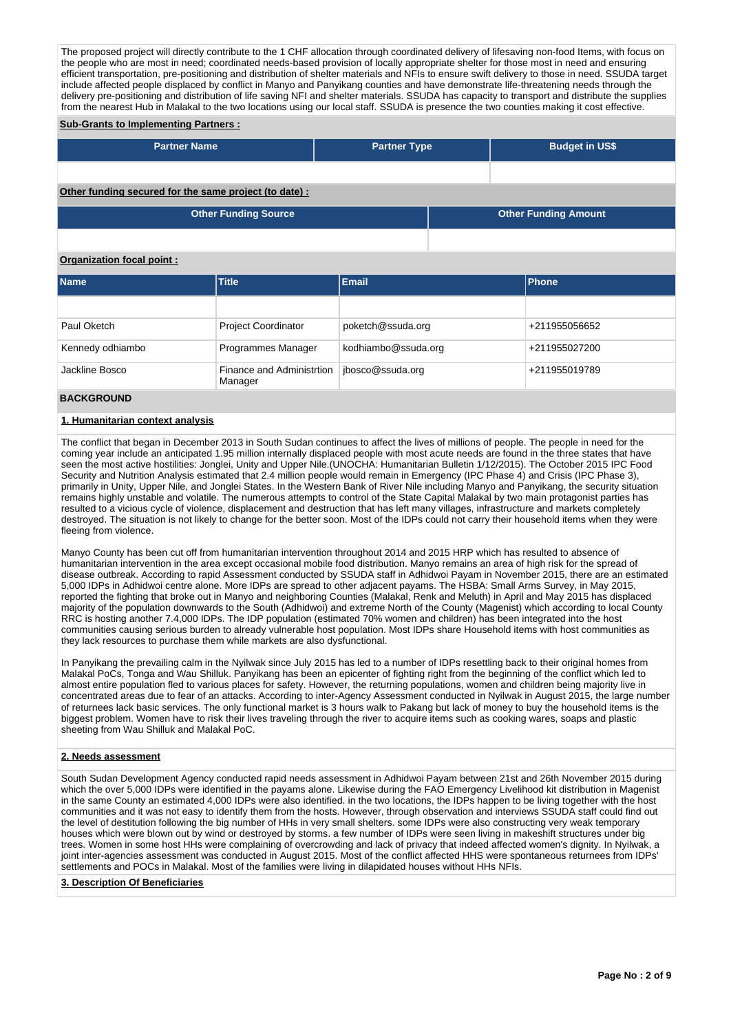The proposed project will directly contribute to the 1 CHF allocation through coordinated delivery of lifesaving non-food Items, with focus on the people who are most in need; coordinated needs-based provision of locally appropriate shelter for those most in need and ensuring efficient transportation, pre-positioning and distribution of shelter materials and NFIs to ensure swift delivery to those in need. SSUDA target include affected people displaced by conflict in Manyo and Panyikang counties and have demonstrate life-threatening needs through the delivery pre-positioning and distribution of life saving NFI and shelter materials. SSUDA has capacity to transport and distribute the supplies from the nearest Hub in Malakal to the two locations using our local staff. SSUDA is presence the two counties making it cost effective.

### **Sub-Grants to Implementing Partners :**

| <b>Partner Name</b>                                   | <b>Partner Type</b> | <b>Budget in US\$</b>       |
|-------------------------------------------------------|---------------------|-----------------------------|
|                                                       |                     |                             |
| Other funding secured for the same project (to date): |                     |                             |
| <b>Other Funding Source</b>                           |                     | <b>Other Funding Amount</b> |

#### **Organization focal point :**

| <b>Name</b>      | <b>Title</b>                         | Email               | Phone         |
|------------------|--------------------------------------|---------------------|---------------|
|                  |                                      |                     |               |
| Paul Oketch      | <b>Project Coordinator</b>           | poketch@ssuda.org   | +211955056652 |
| Kennedy odhiambo | Programmes Manager                   | kodhiambo@ssuda.org | +211955027200 |
| Jackline Bosco   | Finance and Administrtion<br>Manager | jbosco@ssuda.org    | +211955019789 |

### **BACKGROUND**

### **1. Humanitarian context analysis**

The conflict that began in December 2013 in South Sudan continues to affect the lives of millions of people. The people in need for the coming year include an anticipated 1.95 million internally displaced people with most acute needs are found in the three states that have seen the most active hostilities: Jonglei, Unity and Upper Nile.(UNOCHA: Humanitarian Bulletin 1/12/2015). The October 2015 IPC Food Security and Nutrition Analysis estimated that 2.4 million people would remain in Emergency (IPC Phase 4) and Crisis (IPC Phase 3), primarily in Unity, Upper Nile, and Jonglei States. In the Western Bank of River Nile including Manyo and Panyikang, the security situation remains highly unstable and volatile. The numerous attempts to control of the State Capital Malakal by two main protagonist parties has resulted to a vicious cycle of violence, displacement and destruction that has left many villages, infrastructure and markets completely destroyed. The situation is not likely to change for the better soon. Most of the IDPs could not carry their household items when they were fleeing from violence.

Manyo County has been cut off from humanitarian intervention throughout 2014 and 2015 HRP which has resulted to absence of humanitarian intervention in the area except occasional mobile food distribution. Manyo remains an area of high risk for the spread of disease outbreak. According to rapid Assessment conducted by SSUDA staff in Adhidwoi Payam in November 2015, there are an estimated 5,000 IDPs in Adhidwoi centre alone. More IDPs are spread to other adjacent payams. The HSBA: Small Arms Survey, in May 2015, reported the fighting that broke out in Manyo and neighboring Counties (Malakal, Renk and Meluth) in April and May 2015 has displaced majority of the population downwards to the South (Adhidwoi) and extreme North of the County (Magenist) which according to local County RRC is hosting another 7.4,000 IDPs. The IDP population (estimated 70% women and children) has been integrated into the host communities causing serious burden to already vulnerable host population. Most IDPs share Household items with host communities as they lack resources to purchase them while markets are also dysfunctional.

In Panyikang the prevailing calm in the Nyilwak since July 2015 has led to a number of IDPs resettling back to their original homes from Malakal PoCs, Tonga and Wau Shilluk. Panyikang has been an epicenter of fighting right from the beginning of the conflict which led to almost entire population fled to various places for safety. However, the returning populations, women and children being majority live in concentrated areas due to fear of an attacks. According to inter-Agency Assessment conducted in Nyilwak in August 2015, the large number of returnees lack basic services. The only functional market is 3 hours walk to Pakang but lack of money to buy the household items is the biggest problem. Women have to risk their lives traveling through the river to acquire items such as cooking wares, soaps and plastic sheeting from Wau Shilluk and Malakal PoC.

### **2. Needs assessment**

South Sudan Development Agency conducted rapid needs assessment in Adhidwoi Payam between 21st and 26th November 2015 during which the over 5,000 IDPs were identified in the payams alone. Likewise during the FAO Emergency Livelihood kit distribution in Magenist in the same County an estimated 4,000 IDPs were also identified. in the two locations, the IDPs happen to be living together with the host communities and it was not easy to identify them from the hosts. However, through observation and interviews SSUDA staff could find out the level of destitution following the big number of HHs in very small shelters. some IDPs were also constructing very weak temporary houses which were blown out by wind or destroyed by storms. a few number of IDPs were seen living in makeshift structures under big trees. Women in some host HHs were complaining of overcrowding and lack of privacy that indeed affected women's dignity. In Nyilwak, a joint inter-agencies assessment was conducted in August 2015. Most of the conflict affected HHS were spontaneous returnees from IDPs' settlements and POCs in Malakal. Most of the families were living in dilapidated houses without HHs NFIs.

### **3. Description Of Beneficiaries**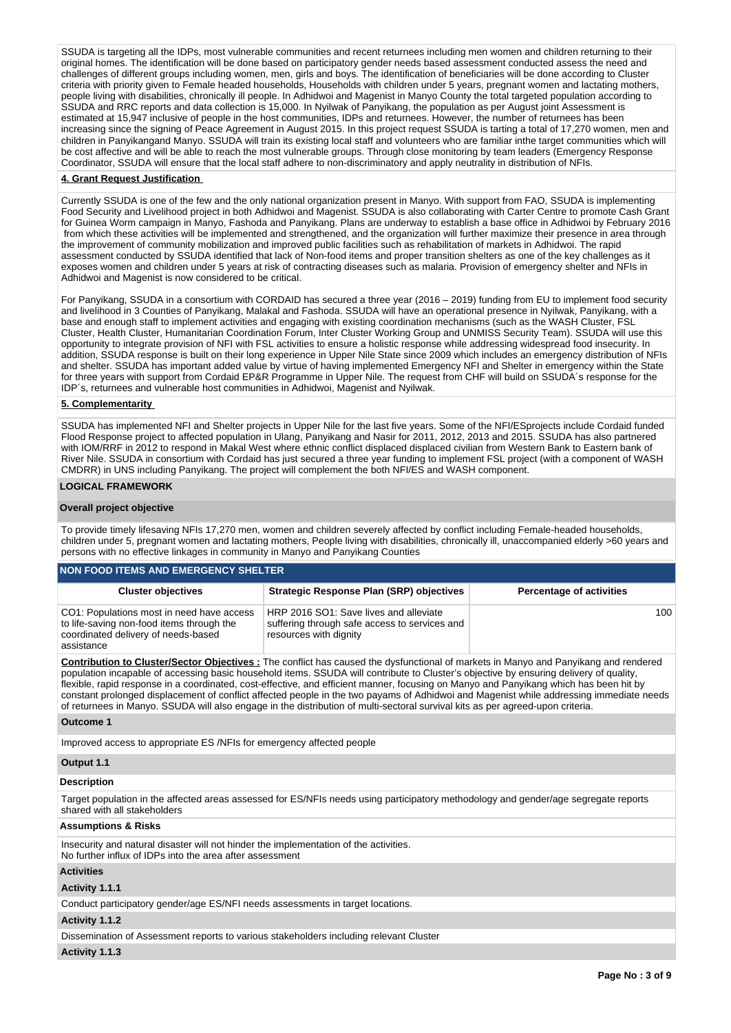SSUDA is targeting all the IDPs, most vulnerable communities and recent returnees including men women and children returning to their original homes. The identification will be done based on participatory gender needs based assessment conducted assess the need and challenges of different groups including women, men, girls and boys. The identification of beneficiaries will be done according to Cluster criteria with priority given to Female headed households, Households with children under 5 years, pregnant women and lactating mothers, people living with disabilities, chronically ill people. In Adhidwoi and Magenist in Manyo County the total targeted population according to SSUDA and RRC reports and data collection is 15,000. In Nyilwak of Panyikang, the population as per August joint Assessment is estimated at 15,947 inclusive of people in the host communities, IDPs and returnees. However, the number of returnees has been increasing since the signing of Peace Agreement in August 2015. In this project request SSUDA is tarting a total of 17,270 women, men and children in Panyikangand Manyo. SSUDA will train its existing local staff and volunteers who are familiar inthe target communities which will be cost affective and will be able to reach the most vulnerable groups. Through close monitoring by team leaders (Emergency Response Coordinator, SSUDA will ensure that the local staff adhere to non-discriminatory and apply neutrality in distribution of NFIs.

### **4. Grant Request Justification**

Currently SSUDA is one of the few and the only national organization present in Manyo. With support from FAO, SSUDA is implementing Food Security and Livelihood project in both Adhidwoi and Magenist. SSUDA is also collaborating with Carter Centre to promote Cash Grant for Guinea Worm campaign in Manyo, Fashoda and Panyikang. Plans are underway to establish a base office in Adhidwoi by February 2016 from which these activities will be implemented and strengthened, and the organization will further maximize their presence in area through the improvement of community mobilization and improved public facilities such as rehabilitation of markets in Adhidwoi. The rapid assessment conducted by SSUDA identified that lack of Non-food items and proper transition shelters as one of the key challenges as it exposes women and children under 5 years at risk of contracting diseases such as malaria. Provision of emergency shelter and NFIs in Adhidwoi and Magenist is now considered to be critical.

For Panyikang, SSUDA in a consortium with CORDAID has secured a three year (2016 – 2019) funding from EU to implement food security and livelihood in 3 Counties of Panyikang, Malakal and Fashoda. SSUDA will have an operational presence in Nyilwak, Panyikang, with a base and enough staff to implement activities and engaging with existing coordination mechanisms (such as the WASH Cluster, FSL Cluster, Health Cluster, Humanitarian Coordination Forum, Inter Cluster Working Group and UNMISS Security Team). SSUDA will use this opportunity to integrate provision of NFI with FSL activities to ensure a holistic response while addressing widespread food insecurity. In addition, SSUDA response is built on their long experience in Upper Nile State since 2009 which includes an emergency distribution of NFIs and shelter. SSUDA has important added value by virtue of having implemented Emergency NFI and Shelter in emergency within the State for three years with support from Cordaid EP&R Programme in Upper Nile. The request from CHF will build on SSUDA´s response for the IDP´s, returnees and vulnerable host communities in Adhidwoi, Magenist and Nyilwak.

### **5. Complementarity**

SSUDA has implemented NFI and Shelter projects in Upper Nile for the last five years. Some of the NFI/ESprojects include Cordaid funded Flood Response project to affected population in Ulang, Panyikang and Nasir for 2011, 2012, 2013 and 2015. SSUDA has also partnered with IOM/RRF in 2012 to respond in Makal West where ethnic conflict displaced displaced civilian from Western Bank to Eastern bank of River Nile. SSUDA in consortium with Cordaid has just secured a three year funding to implement FSL project (with a component of WASH CMDRR) in UNS including Panyikang. The project will complement the both NFI/ES and WASH component.

#### **LOGICAL FRAMEWORK**

#### **Overall project objective**

To provide timely lifesaving NFIs 17,270 men, women and children severely affected by conflict including Female-headed households, children under 5, pregnant women and lactating mothers, People living with disabilities, chronically ill, unaccompanied elderly >60 years and persons with no effective linkages in community in Manyo and Panyikang Counties

### **NON FOOD ITEMS AND EMERGENCY SHELTER**

| <b>Cluster objectives</b>                                                                                                                   | <b>Strategic Response Plan (SRP) objectives</b>                                                                   | <b>Percentage of activities</b> |
|---------------------------------------------------------------------------------------------------------------------------------------------|-------------------------------------------------------------------------------------------------------------------|---------------------------------|
| CO1: Populations most in need have access<br>to life-saving non-food items through the<br>coordinated delivery of needs-based<br>assistance | HRP 2016 SO1: Save lives and alleviate<br>suffering through safe access to services and<br>resources with dignity | 100                             |

**Contribution to Cluster/Sector Objectives :** The conflict has caused the dysfunctional of markets in Manyo and Panyikang and rendered population incapable of accessing basic household items. SSUDA will contribute to Cluster's objective by ensuring delivery of quality, flexible, rapid response in a coordinated, cost-effective, and efficient manner, focusing on Manyo and Panyikang which has been hit by constant prolonged displacement of conflict affected people in the two payams of Adhidwoi and Magenist while addressing immediate needs of returnees in Manyo. SSUDA will also engage in the distribution of multi-sectoral survival kits as per agreed-upon criteria.

#### **Outcome 1**

Improved access to appropriate ES /NFIs for emergency affected people

### **Output 1.1**

### **Description**

Target population in the affected areas assessed for ES/NFIs needs using participatory methodology and gender/age segregate reports shared with all stakeholders

#### **Assumptions & Risks**

Insecurity and natural disaster will not hinder the implementation of the activities. No further influx of IDPs into the area after assessment

#### **Activities**

### **Activity 1.1.1**

Conduct participatory gender/age ES/NFI needs assessments in target locations.

### **Activity 1.1.2**

Dissemination of Assessment reports to various stakeholders including relevant Cluster

#### **Activity 1.1.3**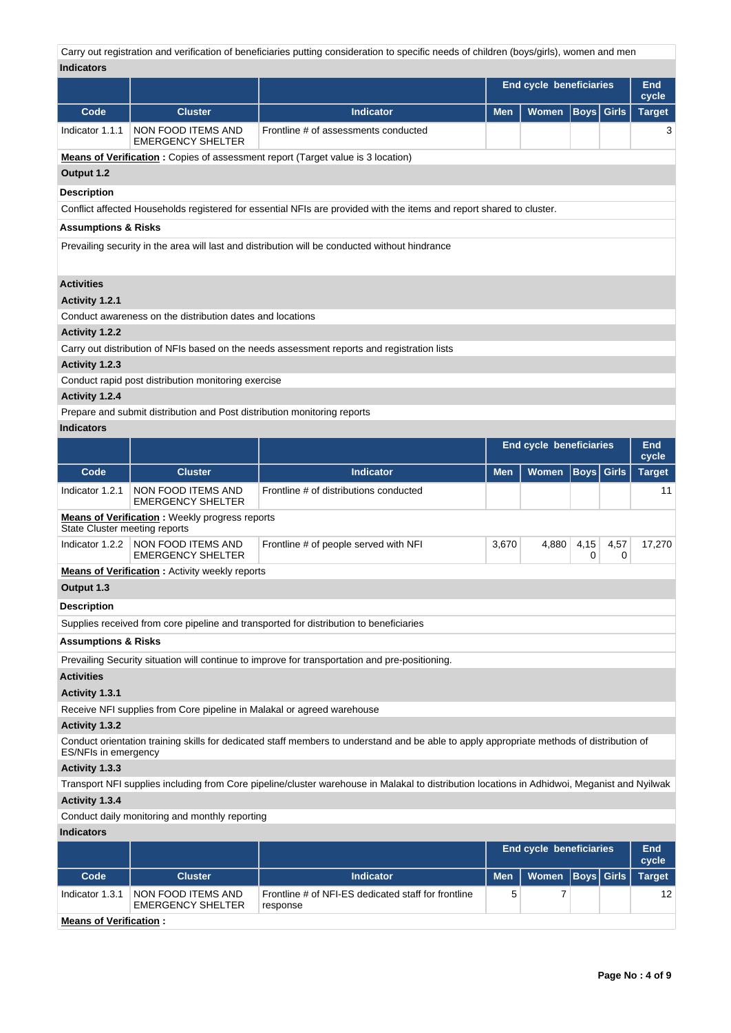Carry out registration and verification of beneficiaries putting consideration to specific needs of children (boys/girls), women and men **Indicators**

| iliulualui s                   |                                                                          |                                                                                                                                              |            | <b>End cycle beneficiaries</b> |                   |              | End<br>cycle        |
|--------------------------------|--------------------------------------------------------------------------|----------------------------------------------------------------------------------------------------------------------------------------------|------------|--------------------------------|-------------------|--------------|---------------------|
| Code                           | <b>Cluster</b>                                                           | <b>Indicator</b>                                                                                                                             | Men        | Women                          | <b>Boys</b> Girls |              | <b>Target</b>       |
| Indicator 1.1.1                | NON FOOD ITEMS AND<br><b>EMERGENCY SHELTER</b>                           | Frontline # of assessments conducted                                                                                                         |            |                                |                   |              | 3                   |
|                                |                                                                          | <b>Means of Verification</b> : Copies of assessment report (Target value is 3 location)                                                      |            |                                |                   |              |                     |
| Output 1.2                     |                                                                          |                                                                                                                                              |            |                                |                   |              |                     |
| <b>Description</b>             |                                                                          |                                                                                                                                              |            |                                |                   |              |                     |
|                                |                                                                          | Conflict affected Households registered for essential NFIs are provided with the items and report shared to cluster.                         |            |                                |                   |              |                     |
| <b>Assumptions &amp; Risks</b> |                                                                          |                                                                                                                                              |            |                                |                   |              |                     |
|                                |                                                                          | Prevailing security in the area will last and distribution will be conducted without hindrance                                               |            |                                |                   |              |                     |
| <b>Activities</b>              |                                                                          |                                                                                                                                              |            |                                |                   |              |                     |
| Activity 1.2.1                 |                                                                          |                                                                                                                                              |            |                                |                   |              |                     |
|                                | Conduct awareness on the distribution dates and locations                |                                                                                                                                              |            |                                |                   |              |                     |
| <b>Activity 1.2.2</b>          |                                                                          |                                                                                                                                              |            |                                |                   |              |                     |
|                                |                                                                          | Carry out distribution of NFIs based on the needs assessment reports and registration lists                                                  |            |                                |                   |              |                     |
| Activity 1.2.3                 |                                                                          |                                                                                                                                              |            |                                |                   |              |                     |
|                                | Conduct rapid post distribution monitoring exercise                      |                                                                                                                                              |            |                                |                   |              |                     |
| Activity 1.2.4                 |                                                                          |                                                                                                                                              |            |                                |                   |              |                     |
| <b>Indicators</b>              | Prepare and submit distribution and Post distribution monitoring reports |                                                                                                                                              |            |                                |                   |              |                     |
|                                |                                                                          |                                                                                                                                              |            |                                |                   |              | <b>End</b>          |
|                                |                                                                          |                                                                                                                                              |            | End cycle beneficiaries        |                   |              | cycle               |
| Code                           | <b>Cluster</b>                                                           | <b>Indicator</b>                                                                                                                             | Men        | Women                          | Boys              | <b>Girls</b> | <b>Target</b>       |
| Indicator 1.2.1                | NON FOOD ITEMS AND<br><b>EMERGENCY SHELTER</b>                           | Frontline # of distributions conducted                                                                                                       |            |                                |                   |              | 11                  |
| State Cluster meeting reports  | <b>Means of Verification</b> : Weekly progress reports                   |                                                                                                                                              |            |                                |                   |              |                     |
| Indicator 1.2.2                | <b>NON FOOD ITEMS AND</b><br><b>EMERGENCY SHELTER</b>                    | Frontline # of people served with NFI                                                                                                        | 3,670      | 4,880                          | 4,15<br>0         | 4,57<br>0    | 17,270              |
|                                | <b>Means of Verification:</b> Activity weekly reports                    |                                                                                                                                              |            |                                |                   |              |                     |
| Output 1.3                     |                                                                          |                                                                                                                                              |            |                                |                   |              |                     |
| Description                    |                                                                          |                                                                                                                                              |            |                                |                   |              |                     |
|                                |                                                                          | Supplies received from core pipeline and transported for distribution to beneficiaries                                                       |            |                                |                   |              |                     |
| <b>Assumptions &amp; Risks</b> |                                                                          |                                                                                                                                              |            |                                |                   |              |                     |
|                                |                                                                          | Prevailing Security situation will continue to improve for transportation and pre-positioning.                                               |            |                                |                   |              |                     |
| <b>Activities</b>              |                                                                          |                                                                                                                                              |            |                                |                   |              |                     |
| Activity 1.3.1                 |                                                                          |                                                                                                                                              |            |                                |                   |              |                     |
|                                | Receive NFI supplies from Core pipeline in Malakal or agreed warehouse   |                                                                                                                                              |            |                                |                   |              |                     |
| Activity 1.3.2                 |                                                                          |                                                                                                                                              |            |                                |                   |              |                     |
| ES/NFIs in emergency           |                                                                          | Conduct orientation training skills for dedicated staff members to understand and be able to apply appropriate methods of distribution of    |            |                                |                   |              |                     |
| Activity 1.3.3                 |                                                                          |                                                                                                                                              |            |                                |                   |              |                     |
|                                |                                                                          | Transport NFI supplies including from Core pipeline/cluster warehouse in Malakal to distribution locations in Adhidwoi, Meganist and Nyilwak |            |                                |                   |              |                     |
| Activity 1.3.4                 |                                                                          |                                                                                                                                              |            |                                |                   |              |                     |
|                                | Conduct daily monitoring and monthly reporting                           |                                                                                                                                              |            |                                |                   |              |                     |
| <b>Indicators</b>              |                                                                          |                                                                                                                                              |            |                                |                   |              |                     |
|                                |                                                                          |                                                                                                                                              |            | <b>End cycle beneficiaries</b> |                   |              | <b>End</b><br>cycle |
| Code                           | <b>Cluster</b>                                                           | <b>Indicator</b>                                                                                                                             | <b>Men</b> | Women                          | <b>Boys</b>       | <b>Girls</b> | <b>Target</b>       |
| Indicator 1.3.1                | NON FOOD ITEMS AND<br><b>EMERGENCY SHELTER</b>                           | Frontline # of NFI-ES dedicated staff for frontline<br>response                                                                              | 5          | 7                              |                   |              | 12                  |
| <b>Means of Verification:</b>  |                                                                          |                                                                                                                                              |            |                                |                   |              |                     |
|                                |                                                                          |                                                                                                                                              |            |                                |                   |              |                     |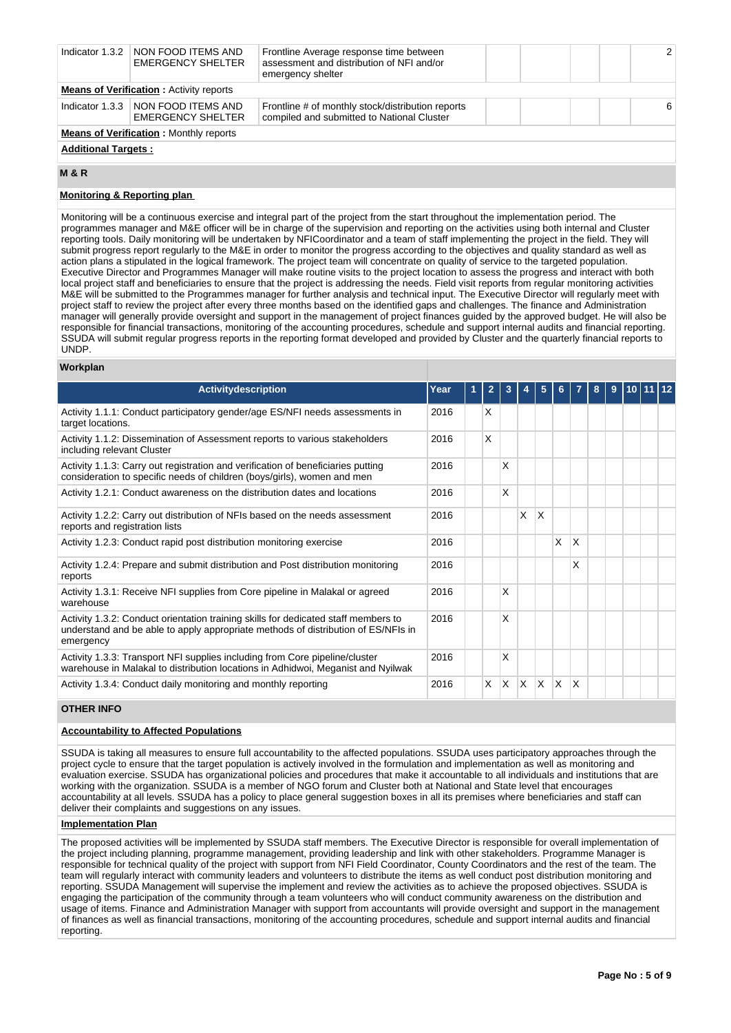|                            | Indicator 1.3.2   NON FOOD ITEMS AND<br><b>EMERGENCY SHELTER</b> | Frontline Average response time between<br>assessment and distribution of NFI and/or<br>emergency shelter |  |  | $\mathcal{P}$ |
|----------------------------|------------------------------------------------------------------|-----------------------------------------------------------------------------------------------------------|--|--|---------------|
|                            | <b>Means of Verification: Activity reports</b>                   |                                                                                                           |  |  |               |
|                            | Indicator 1.3.3   NON FOOD ITEMS AND<br><b>EMERGENCY SHELTER</b> | Frontline # of monthly stock/distribution reports<br>compiled and submitted to National Cluster           |  |  | 6             |
|                            | <b>Means of Verification: Monthly reports</b>                    |                                                                                                           |  |  |               |
| <b>Additional Targets:</b> |                                                                  |                                                                                                           |  |  |               |

**M & R**

### **Monitoring & Reporting plan**

Monitoring will be a continuous exercise and integral part of the project from the start throughout the implementation period. The programmes manager and M&E officer will be in charge of the supervision and reporting on the activities using both internal and Cluster reporting tools. Daily monitoring will be undertaken by NFICoordinator and a team of staff implementing the project in the field. They will submit progress report regularly to the M&E in order to monitor the progress according to the objectives and quality standard as well as action plans a stipulated in the logical framework. The project team will concentrate on quality of service to the targeted population. Executive Director and Programmes Manager will make routine visits to the project location to assess the progress and interact with both local project staff and beneficiaries to ensure that the project is addressing the needs. Field visit reports from regular monitoring activities M&E will be submitted to the Programmes manager for further analysis and technical input. The Executive Director will regularly meet with project staff to review the project after every three months based on the identified gaps and challenges. The finance and Administration manager will generally provide oversight and support in the management of project finances guided by the approved budget. He will also be responsible for financial transactions, monitoring of the accounting procedures, schedule and support internal audits and financial reporting. SSUDA will submit regular progress reports in the reporting format developed and provided by Cluster and the quarterly financial reports to UNDP.

### **Workplan**

| <b>Activitydescription</b>                                                                                                                                                           | Year |    |   |   |              |    |    | 8 | 9 |  |  |
|--------------------------------------------------------------------------------------------------------------------------------------------------------------------------------------|------|----|---|---|--------------|----|----|---|---|--|--|
| Activity 1.1.1: Conduct participatory gender/age ES/NFI needs assessments in<br>target locations.                                                                                    | 2016 | X  |   |   |              |    |    |   |   |  |  |
| Activity 1.1.2: Dissemination of Assessment reports to various stakeholders<br>including relevant Cluster                                                                            | 2016 | X  |   |   |              |    |    |   |   |  |  |
| Activity 1.1.3: Carry out registration and verification of beneficiaries putting<br>consideration to specific needs of children (boys/girls), women and men                          | 2016 |    | X |   |              |    |    |   |   |  |  |
| Activity 1.2.1: Conduct awareness on the distribution dates and locations                                                                                                            | 2016 |    | X |   |              |    |    |   |   |  |  |
| Activity 1.2.2: Carry out distribution of NFIs based on the needs assessment<br>reports and registration lists                                                                       | 2016 |    |   | X | X            |    |    |   |   |  |  |
| Activity 1.2.3: Conduct rapid post distribution monitoring exercise                                                                                                                  | 2016 |    |   |   |              | X  | X  |   |   |  |  |
| Activity 1.2.4: Prepare and submit distribution and Post distribution monitoring<br>reports                                                                                          | 2016 |    |   |   |              |    | X  |   |   |  |  |
| Activity 1.3.1: Receive NFI supplies from Core pipeline in Malakal or agreed<br>warehouse                                                                                            | 2016 |    | X |   |              |    |    |   |   |  |  |
| Activity 1.3.2: Conduct orientation training skills for dedicated staff members to<br>understand and be able to apply appropriate methods of distribution of ES/NFIs in<br>emergency | 2016 |    | X |   |              |    |    |   |   |  |  |
| Activity 1.3.3: Transport NFI supplies including from Core pipeline/cluster<br>warehouse in Malakal to distribution locations in Adhidwoi, Meganist and Nyilwak                      | 2016 |    | X |   |              |    |    |   |   |  |  |
| Activity 1.3.4: Conduct daily monitoring and monthly reporting                                                                                                                       | 2016 | X. | X | X | <sup>X</sup> | ΙX | ΙX |   |   |  |  |

### **OTHER INFO**

## **Accountability to Affected Populations**

SSUDA is taking all measures to ensure full accountability to the affected populations. SSUDA uses participatory approaches through the project cycle to ensure that the target population is actively involved in the formulation and implementation as well as monitoring and evaluation exercise. SSUDA has organizational policies and procedures that make it accountable to all individuals and institutions that are working with the organization. SSUDA is a member of NGO forum and Cluster both at National and State level that encourages accountability at all levels. SSUDA has a policy to place general suggestion boxes in all its premises where beneficiaries and staff can deliver their complaints and suggestions on any issues.

### **Implementation Plan**

The proposed activities will be implemented by SSUDA staff members. The Executive Director is responsible for overall implementation of the project including planning, programme management, providing leadership and link with other stakeholders. Programme Manager is responsible for technical quality of the project with support from NFI Field Coordinator, County Coordinators and the rest of the team. The team will regularly interact with community leaders and volunteers to distribute the items as well conduct post distribution monitoring and reporting. SSUDA Management will supervise the implement and review the activities as to achieve the proposed objectives. SSUDA is engaging the participation of the community through a team volunteers who will conduct community awareness on the distribution and usage of items. Finance and Administration Manager with support from accountants will provide oversight and support in the management of finances as well as financial transactions, monitoring of the accounting procedures, schedule and support internal audits and financial reporting.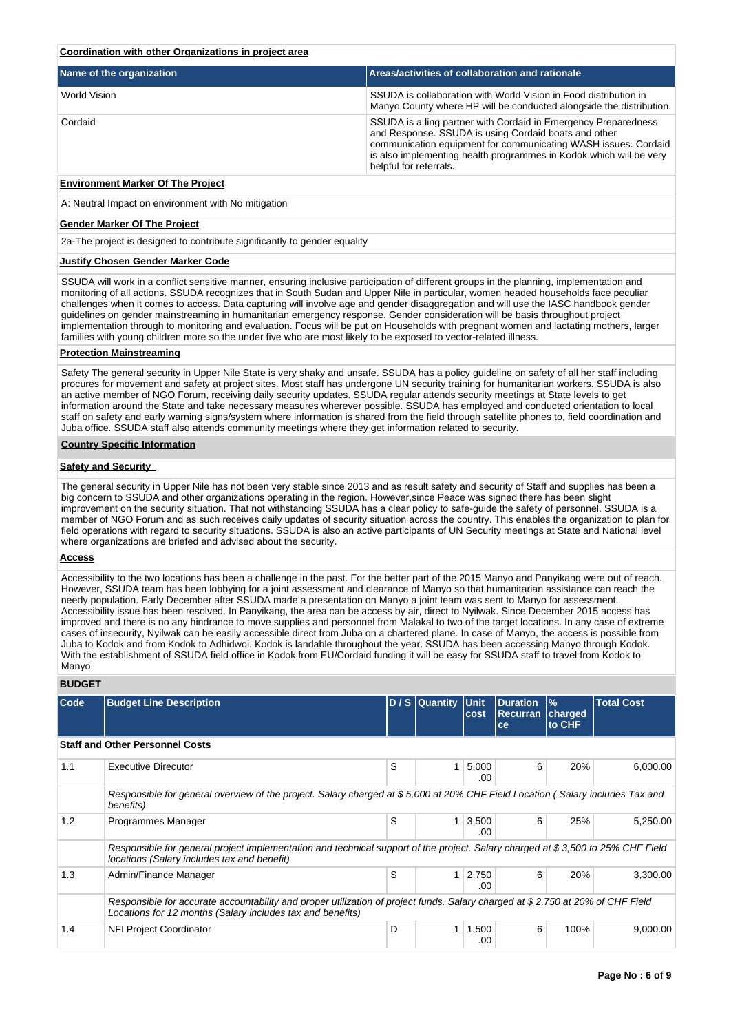### **Coordination with other Organizations in project area**

| Name of the organization | Areas/activities of collaboration and rationale                                                                                                                                                                                                                                          |  |  |  |  |  |  |
|--------------------------|------------------------------------------------------------------------------------------------------------------------------------------------------------------------------------------------------------------------------------------------------------------------------------------|--|--|--|--|--|--|
| World Vision             | SSUDA is collaboration with World Vision in Food distribution in<br>Manyo County where HP will be conducted alongside the distribution.                                                                                                                                                  |  |  |  |  |  |  |
| Cordaid                  | SSUDA is a ling partner with Cordaid in Emergency Preparedness<br>and Response. SSUDA is using Cordaid boats and other<br>communication equipment for communicating WASH issues. Cordaid<br>is also implementing health programmes in Kodok which will be very<br>helpful for referrals. |  |  |  |  |  |  |

## **Environment Marker Of The Project**

A: Neutral Impact on environment with No mitigation

#### **Gender Marker Of The Project**

2a-The project is designed to contribute significantly to gender equality

### **Justify Chosen Gender Marker Code**

SSUDA will work in a conflict sensitive manner, ensuring inclusive participation of different groups in the planning, implementation and monitoring of all actions. SSUDA recognizes that in South Sudan and Upper Nile in particular, women headed households face peculiar challenges when it comes to access. Data capturing will involve age and gender disaggregation and will use the IASC handbook gender guidelines on gender mainstreaming in humanitarian emergency response. Gender consideration will be basis throughout project implementation through to monitoring and evaluation. Focus will be put on Households with pregnant women and lactating mothers, larger families with young children more so the under five who are most likely to be exposed to vector-related illness.

### **Protection Mainstreaming**

Safety The general security in Upper Nile State is very shaky and unsafe. SSUDA has a policy guideline on safety of all her staff including procures for movement and safety at project sites. Most staff has undergone UN security training for humanitarian workers. SSUDA is also an active member of NGO Forum, receiving daily security updates. SSUDA regular attends security meetings at State levels to get information around the State and take necessary measures wherever possible. SSUDA has employed and conducted orientation to local staff on safety and early warning signs/system where information is shared from the field through satellite phones to, field coordination and Juba office. SSUDA staff also attends community meetings where they get information related to security.

### **Country Specific Information**

### **Safety and Security**

The general security in Upper Nile has not been very stable since 2013 and as result safety and security of Staff and supplies has been a big concern to SSUDA and other organizations operating in the region. However,since Peace was signed there has been slight improvement on the security situation. That not withstanding SSUDA has a clear policy to safe-guide the safety of personnel. SSUDA is a member of NGO Forum and as such receives daily updates of security situation across the country. This enables the organization to plan for field operations with regard to security situations. SSUDA is also an active participants of UN Security meetings at State and National level where organizations are briefed and advised about the security.

### **Access**

Accessibility to the two locations has been a challenge in the past. For the better part of the 2015 Manyo and Panyikang were out of reach. However, SSUDA team has been lobbying for a joint assessment and clearance of Manyo so that humanitarian assistance can reach the needy population. Early December after SSUDA made a presentation on Manyo a joint team was sent to Manyo for assessment. Accessibility issue has been resolved. In Panyikang, the area can be access by air, direct to Nyilwak. Since December 2015 access has improved and there is no any hindrance to move supplies and personnel from Malakal to two of the target locations. In any case of extreme cases of insecurity, Nyilwak can be easily accessible direct from Juba on a chartered plane. In case of Manyo, the access is possible from Juba to Kodok and from Kodok to Adhidwoi. Kodok is landable throughout the year. SSUDA has been accessing Manyo through Kodok. With the establishment of SSUDA field office in Kodok from EU/Cordaid funding it will be easy for SSUDA staff to travel from Kodok to Manyo.

### **BUDGET**

| <b>Code</b> | <b>Budget Line Description</b>                                                                                                                                                               |   | $D/S$ Quantity | Unit<br>cost | <b>Duration</b><br><b>Recurran</b><br>ce | $\%$<br>charged<br>to CHF | <b>Total Cost</b> |  |  |  |  |
|-------------|----------------------------------------------------------------------------------------------------------------------------------------------------------------------------------------------|---|----------------|--------------|------------------------------------------|---------------------------|-------------------|--|--|--|--|
|             | <b>Staff and Other Personnel Costs</b>                                                                                                                                                       |   |                |              |                                          |                           |                   |  |  |  |  |
| 1.1         | <b>Executive Direcutor</b>                                                                                                                                                                   | S | 1              | 5,000<br>.00 | 6                                        | 20%                       | 6,000.00          |  |  |  |  |
|             | Responsible for general overview of the project. Salary charged at \$5,000 at 20% CHF Field Location (Salary includes Tax and<br>benefits)                                                   |   |                |              |                                          |                           |                   |  |  |  |  |
| 1.2         | Programmes Manager                                                                                                                                                                           | S | 1              | 3,500<br>.00 | 6                                        | 25%                       | 5,250.00          |  |  |  |  |
|             | Responsible for general project implementation and technical support of the project. Salary charged at \$3,500 to 25% CHF Field<br>locations (Salary includes tax and benefit)               |   |                |              |                                          |                           |                   |  |  |  |  |
| 1.3         | Admin/Finance Manager                                                                                                                                                                        | S | 1              | 2,750<br>.00 | 6                                        | 20%                       | 3,300.00          |  |  |  |  |
|             | Responsible for accurate accountability and proper utilization of project funds. Salary charged at \$2,750 at 20% of CHF Field<br>Locations for 12 months (Salary includes tax and benefits) |   |                |              |                                          |                           |                   |  |  |  |  |
| 1.4         | <b>NFI Project Coordinator</b>                                                                                                                                                               | D |                | 1,500<br>.00 | 6                                        | 100%                      | 9,000.00          |  |  |  |  |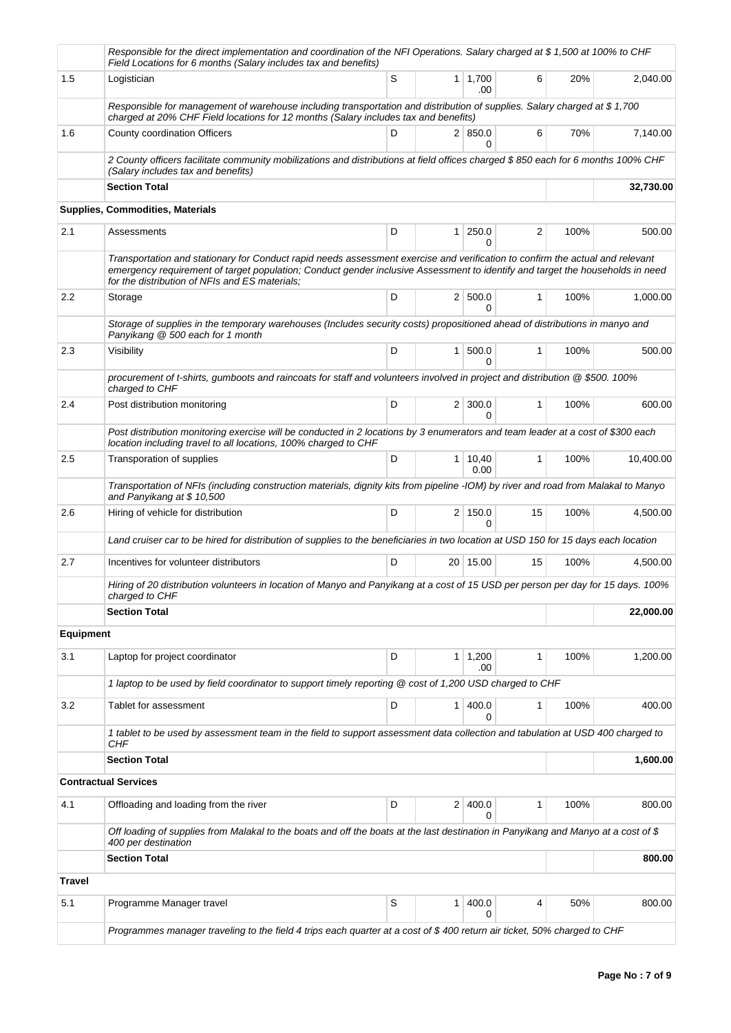|               | Responsible for the direct implementation and coordination of the NFI Operations. Salary charged at \$1,500 at 100% to CHF<br>Field Locations for 6 months (Salary includes tax and benefits)                                                                                                                    |   |                |                        |              |      |           |
|---------------|------------------------------------------------------------------------------------------------------------------------------------------------------------------------------------------------------------------------------------------------------------------------------------------------------------------|---|----------------|------------------------|--------------|------|-----------|
| 1.5           | Logistician                                                                                                                                                                                                                                                                                                      | S |                | $1 \mid 1,700$<br>.00  | 6            | 20%  | 2,040.00  |
|               | Responsible for management of warehouse including transportation and distribution of supplies. Salary charged at \$1,700<br>charged at 20% CHF Field locations for 12 months (Salary includes tax and benefits)                                                                                                  |   |                |                        |              |      |           |
| 1.6           | County coordination Officers                                                                                                                                                                                                                                                                                     | D |                | 2   850.0              | 6            | 70%  | 7,140.00  |
|               | 2 County officers facilitate community mobilizations and distributions at field offices charged \$850 each for 6 months 100% CHF<br>(Salary includes tax and benefits)                                                                                                                                           |   |                |                        |              |      |           |
|               | <b>Section Total</b>                                                                                                                                                                                                                                                                                             |   |                |                        |              |      | 32,730.00 |
|               | Supplies, Commodities, Materials                                                                                                                                                                                                                                                                                 |   |                |                        |              |      |           |
| 2.1           | Assessments                                                                                                                                                                                                                                                                                                      | D |                | $1 \mid 250.0$<br>0    | 2            | 100% | 500.00    |
|               | Transportation and stationary for Conduct rapid needs assessment exercise and verification to confirm the actual and relevant<br>emergency requirement of target population; Conduct gender inclusive Assessment to identify and target the households in need<br>for the distribution of NFIs and ES materials; |   |                |                        |              |      |           |
| 2.2           | Storage                                                                                                                                                                                                                                                                                                          | D |                | 2   500.0<br>$\Omega$  | $\mathbf{1}$ | 100% | 1,000.00  |
|               | Storage of supplies in the temporary warehouses (Includes security costs) propositioned ahead of distributions in manyo and<br>Panyikang @ 500 each for 1 month                                                                                                                                                  |   |                |                        |              |      |           |
| 2.3           | Visibility                                                                                                                                                                                                                                                                                                       | D | 1 <sup>1</sup> | 500.0<br>0             | $\mathbf{1}$ | 100% | 500.00    |
|               | procurement of t-shirts, qumboots and raincoats for staff and volunteers involved in project and distribution @ \$500, 100%<br>charged to CHF                                                                                                                                                                    |   |                |                        |              |      |           |
| 2.4           | Post distribution monitoring                                                                                                                                                                                                                                                                                     | D |                | $2 \mid 300.0$<br>0    | $\mathbf{1}$ | 100% | 600.00    |
|               | Post distribution monitoring exercise will be conducted in 2 locations by 3 enumerators and team leader at a cost of \$300 each<br>location including travel to all locations, 100% charged to CHF                                                                                                               |   |                |                        |              |      |           |
| 2.5           | Transporation of supplies                                                                                                                                                                                                                                                                                        | D |                | $1 \mid 10,40$<br>0.00 | $\mathbf{1}$ | 100% | 10,400.00 |
|               | Transportation of NFIs (including construction materials, dignity kits from pipeline -IOM) by river and road from Malakal to Manyo<br>and Panyikang at \$10,500                                                                                                                                                  |   |                |                        |              |      |           |
| 2.6           | Hiring of vehicle for distribution                                                                                                                                                                                                                                                                               | D |                | 2 150.0<br>0           | 15           | 100% | 4,500.00  |
|               | Land cruiser car to be hired for distribution of supplies to the beneficiaries in two location at USD 150 for 15 days each location                                                                                                                                                                              |   |                |                        |              |      |           |
| 2.7           | Incentives for volunteer distributors                                                                                                                                                                                                                                                                            | D |                | 20 15.00               | 15           | 100% | 4,500.00  |
|               | Hiring of 20 distribution volunteers in location of Manyo and Panyikang at a cost of 15 USD per person per day for 15 days. 100%<br>charged to CHF                                                                                                                                                               |   |                |                        |              |      |           |
|               | <b>Section Total</b>                                                                                                                                                                                                                                                                                             |   |                |                        |              |      | 22,000.00 |
| Equipment     |                                                                                                                                                                                                                                                                                                                  |   |                |                        |              |      |           |
| 3.1           | Laptop for project coordinator                                                                                                                                                                                                                                                                                   | D |                | $1 \mid 1,200$<br>.00  | 1            | 100% | 1,200.00  |
|               | 1 laptop to be used by field coordinator to support timely reporting @ cost of 1,200 USD charged to CHF                                                                                                                                                                                                          |   |                |                        |              |      |           |
| 3.2           | Tablet for assessment                                                                                                                                                                                                                                                                                            | D | 1 <sup>1</sup> | 400.0<br>0             | $\mathbf{1}$ | 100% | 400.00    |
|               | 1 tablet to be used by assessment team in the field to support assessment data collection and tabulation at USD 400 charged to<br>CHF                                                                                                                                                                            |   |                |                        |              |      |           |
|               | <b>Section Total</b>                                                                                                                                                                                                                                                                                             |   |                |                        |              |      | 1,600.00  |
|               | <b>Contractual Services</b>                                                                                                                                                                                                                                                                                      |   |                |                        |              |      |           |
| 4.1           | Offloading and loading from the river                                                                                                                                                                                                                                                                            | D |                | 2 400.0<br>$\Omega$    | 1            | 100% | 800.00    |
|               | Off loading of supplies from Malakal to the boats and off the boats at the last destination in Panyikang and Manyo at a cost of \$<br>400 per destination                                                                                                                                                        |   |                |                        |              |      |           |
|               | <b>Section Total</b>                                                                                                                                                                                                                                                                                             |   |                |                        |              |      | 800.00    |
| <b>Travel</b> |                                                                                                                                                                                                                                                                                                                  |   |                |                        |              |      |           |
| 5.1           | Programme Manager travel                                                                                                                                                                                                                                                                                         | S | 1              | 400.0<br>0             | 4            | 50%  | 800.00    |
|               | Programmes manager traveling to the field 4 trips each quarter at a cost of \$400 return air ticket, 50% charged to CHF                                                                                                                                                                                          |   |                |                        |              |      |           |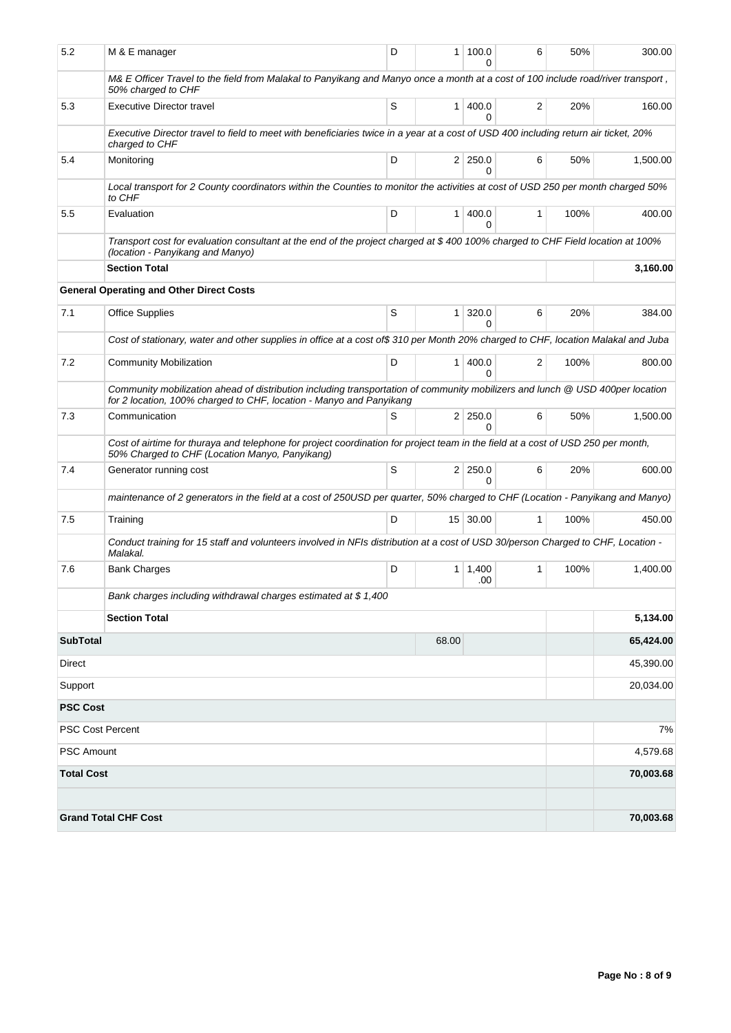| 5.2               | M & E manager                                                                                                                                                                                        | D | 1 <sup>1</sup> | 100.0<br>0                 | 6            | 50%  | 300.00    |  |  |  |  |  |
|-------------------|------------------------------------------------------------------------------------------------------------------------------------------------------------------------------------------------------|---|----------------|----------------------------|--------------|------|-----------|--|--|--|--|--|
|                   | M& E Officer Travel to the field from Malakal to Panyikang and Manyo once a month at a cost of 100 include road/river transport,<br>50% charged to CHF                                               |   |                |                            |              |      |           |  |  |  |  |  |
| 5.3               | <b>Executive Director travel</b>                                                                                                                                                                     | S |                | 1   400.0<br>0             | 2            | 20%  | 160.00    |  |  |  |  |  |
|                   | Executive Director travel to field to meet with beneficiaries twice in a year at a cost of USD 400 including return air ticket, 20%<br>charged to CHF                                                |   |                |                            |              |      |           |  |  |  |  |  |
| 5.4               | Monitoring                                                                                                                                                                                           | D |                | $2 \mid 250.0$<br>$\Omega$ | 6            | 50%  | 1,500.00  |  |  |  |  |  |
|                   | Local transport for 2 County coordinators within the Counties to monitor the activities at cost of USD 250 per month charged 50%<br>to CHF                                                           |   |                |                            |              |      |           |  |  |  |  |  |
| 5.5               | Evaluation                                                                                                                                                                                           | D | 1 <sup>1</sup> | 400.0<br>$\Omega$          | 1            | 100% | 400.00    |  |  |  |  |  |
|                   | Transport cost for evaluation consultant at the end of the project charged at \$400 100% charged to CHF Field location at 100%<br>(location - Panyikang and Manyo)                                   |   |                |                            |              |      |           |  |  |  |  |  |
|                   | <b>Section Total</b>                                                                                                                                                                                 |   | 3,160.00       |                            |              |      |           |  |  |  |  |  |
|                   | <b>General Operating and Other Direct Costs</b>                                                                                                                                                      |   |                |                            |              |      |           |  |  |  |  |  |
| 7.1               | <b>Office Supplies</b>                                                                                                                                                                               | S | 1 <sup>1</sup> | 320.0<br>0                 | 6            | 20%  | 384.00    |  |  |  |  |  |
|                   | Cost of stationary, water and other supplies in office at a cost of\$ 310 per Month 20% charged to CHF, location Malakal and Juba                                                                    |   |                |                            |              |      |           |  |  |  |  |  |
| 7.2               | <b>Community Mobilization</b>                                                                                                                                                                        | D | 1 <sup>1</sup> | 400.0<br>$\Omega$          | 2            | 100% | 800.00    |  |  |  |  |  |
|                   | Community mobilization ahead of distribution including transportation of community mobilizers and lunch @ USD 400per location<br>for 2 location, 100% charged to CHF, location - Manyo and Panyikang |   |                |                            |              |      |           |  |  |  |  |  |
| 7.3               | Communication                                                                                                                                                                                        | S |                | $2 \mid 250.0$<br>0        | 6            | 50%  | 1,500.00  |  |  |  |  |  |
|                   | Cost of airtime for thuraya and telephone for project coordination for project team in the field at a cost of USD 250 per month,<br>50% Charged to CHF (Location Manyo, Panyikang)                   |   |                |                            |              |      |           |  |  |  |  |  |
| 7.4               | Generator running cost                                                                                                                                                                               | S |                | $2 \mid 250.0$<br>$\Omega$ | 6            | 20%  | 600.00    |  |  |  |  |  |
|                   | maintenance of 2 generators in the field at a cost of 250USD per quarter, 50% charged to CHF (Location - Panyikang and Manyo)                                                                        |   |                |                            |              |      |           |  |  |  |  |  |
| 7.5               | Training                                                                                                                                                                                             | D |                | $15 \mid 30.00$            | $\mathbf{1}$ | 100% | 450.00    |  |  |  |  |  |
|                   | Conduct training for 15 staff and volunteers involved in NFIs distribution at a cost of USD 30/person Charged to CHF, Location -<br>Malakal.                                                         |   |                |                            |              |      |           |  |  |  |  |  |
| 7.6               | <b>Bank Charges</b>                                                                                                                                                                                  | D |                | 1 1,400<br>.00             | $\mathbf{1}$ | 100% | 1.400.00  |  |  |  |  |  |
|                   | Bank charges including withdrawal charges estimated at \$1,400                                                                                                                                       |   |                |                            |              |      |           |  |  |  |  |  |
|                   | <b>Section Total</b>                                                                                                                                                                                 |   |                |                            |              |      | 5,134.00  |  |  |  |  |  |
| <b>SubTotal</b>   |                                                                                                                                                                                                      |   | 68.00          |                            |              |      | 65,424.00 |  |  |  |  |  |
| Direct            |                                                                                                                                                                                                      |   |                |                            |              |      | 45,390.00 |  |  |  |  |  |
| Support           |                                                                                                                                                                                                      |   |                |                            |              |      | 20,034.00 |  |  |  |  |  |
| <b>PSC Cost</b>   |                                                                                                                                                                                                      |   |                |                            |              |      |           |  |  |  |  |  |
|                   | <b>PSC Cost Percent</b>                                                                                                                                                                              |   |                |                            |              |      | 7%        |  |  |  |  |  |
| PSC Amount        |                                                                                                                                                                                                      |   |                |                            |              |      | 4,579.68  |  |  |  |  |  |
| <b>Total Cost</b> |                                                                                                                                                                                                      |   |                |                            |              |      | 70,003.68 |  |  |  |  |  |
|                   |                                                                                                                                                                                                      |   |                |                            |              |      |           |  |  |  |  |  |
|                   | <b>Grand Total CHF Cost</b>                                                                                                                                                                          |   |                |                            |              |      | 70,003.68 |  |  |  |  |  |